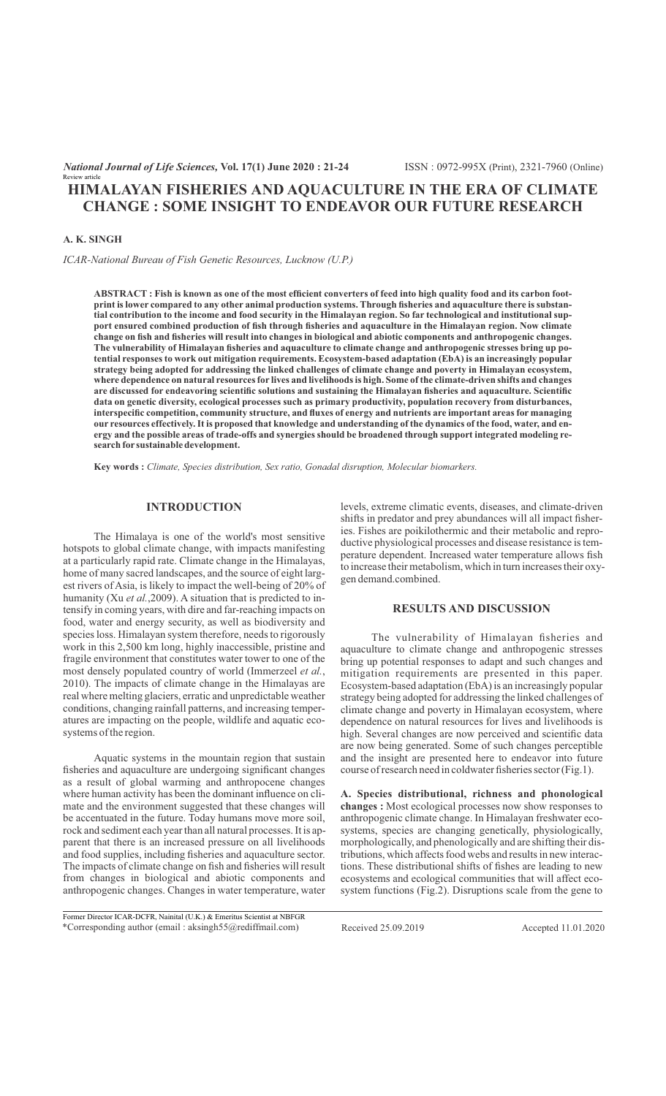# **HIMALAYAN FISHERIES AND AQUACULTURE IN THE ERA OF CLIMATE CHANGE : SOME INSIGHT TO ENDEAVOR OUR FUTURE RESEARCH**

## **A. K. SINGH**

Review article

*ICAR-National Bureau of Fish Genetic Resources, Lucknow (U.P.)*

**ABSTRACT : Fish is known as one of the most efficient converters of feed into high quality food and its carbon footprint is lower compared to any other animal production systems. Through fisheries and aquaculture there is substantial contribution to the income and food security in the Himalayan region. So far technological and institutional support ensured combined production of fish through fisheries and aquaculture in the Himalayan region. Now climate change on fish and fisheries will result into changes in biological and abiotic components and anthropogenic changes. The vulnerability of Himalayan fisheries and aquaculture to climate change and anthropogenic stresses bring up potential responses to work out mitigation requirements. Ecosystem-based adaptation (EbA) is an increasingly popular strategy being adopted for addressing the linked challenges of climate change and poverty in Himalayan ecosystem, where dependence on natural resources for lives and livelihoods is high. Some of the climate-driven shifts and changes are discussed for endeavoring scientific solutions and sustaining the Himalayan fisheries and aquaculture. Scientific data on genetic diversity, ecological processes such as primary productivity, population recovery from disturbances, interspecific competition, community structure, and fluxes of energy and nutrients are important areas for managing our resources effectively. It is proposed that knowledge and understanding of the dynamics of the food, water, and energy and the possible areas of trade-offs and synergies should be broadened through support integrated modeling research for sustainable development.**

**Key words :** *Climate, Species distribution, Sex ratio, Gonadal disruption, Molecular biomarkers.*

## **INTRODUCTION**

The Himalaya is one of the world's most sensitive hotspots to global climate change, with impacts manifesting at a particularly rapid rate. Climate change in the Himalayas, home of many sacred landscapes, and the source of eight largest rivers of Asia, is likely to impact the well-being of 20% of humanity (Xu *et al.*, 2009). A situation that is predicted to intensify in coming years, with dire and far-reaching impacts on food, water and energy security, as well as biodiversity and species loss. Himalayan system therefore, needs to rigorously work in this 2,500 km long, highly inaccessible, pristine and fragile environment that constitutes water tower to one of the most densely populated country of world (Immerzeel *et al.*, 2010). The impacts of climate change in the Himalayas are real where melting glaciers, erratic and unpredictable weather conditions, changing rainfall patterns, and increasing temperatures are impacting on the people, wildlife and aquatic ecosystems of the region.

Aquatic systems in the mountain region that sustain fisheries and aquaculture are undergoing significant changes as a result of global warming and anthropocene changes where human activity has been the dominant influence on climate and the environment suggested that these changes will be accentuated in the future. Today humans move more soil, rock and sediment each year than all natural processes. It is apparent that there is an increased pressure on all livelihoods and food supplies, including fisheries and aquaculture sector. The impacts of climate change on fish and fisheries will result from changes in biological and abiotic components and anthropogenic changes. Changes in water temperature, water levels, extreme climatic events, diseases, and climate-driven shifts in predator and prey abundances will all impact fisheries. Fishes are poikilothermic and their metabolic and reproductive physiological processes and disease resistance is temperature dependent. Increased water temperature allows fish to increase their metabolism, which in turn increases their oxygen demand.combined.

#### **RESULTS AND DISCUSSION**

The vulnerability of Himalayan fisheries and aquaculture to climate change and anthropogenic stresses bring up potential responses to adapt and such changes and mitigation requirements are presented in this paper. Ecosystem-based adaptation (EbA) is an increasingly popular strategy being adopted for addressing the linked challenges of climate change and poverty in Himalayan ecosystem, where dependence on natural resources for lives and livelihoods is high. Several changes are now perceived and scientific data are now being generated. Some of such changes perceptible and the insight are presented here to endeavor into future course of research need in coldwater fisheries sector (Fig.1).

**A. Species distributional, richness and phonological changes :** Most ecological processes now show responses to anthropogenic climate change. In Himalayan freshwater ecosystems, species are changing genetically, physiologically, morphologically, and phenologically and are shifting their distributions, which affects food webs and results in new interactions. These distributional shifts of fishes are leading to new ecosystems and ecological communities that will affect ecosystem functions (Fig.2). Disruptions scale from the gene to

\*Corresponding author (email : aksingh55@rediffmail.com) Received 25.09.2019 Accepted 11.01.2020 Former Director ICAR-DCFR, Nainital (U.K.) & Emeritus Scientist at NBFGR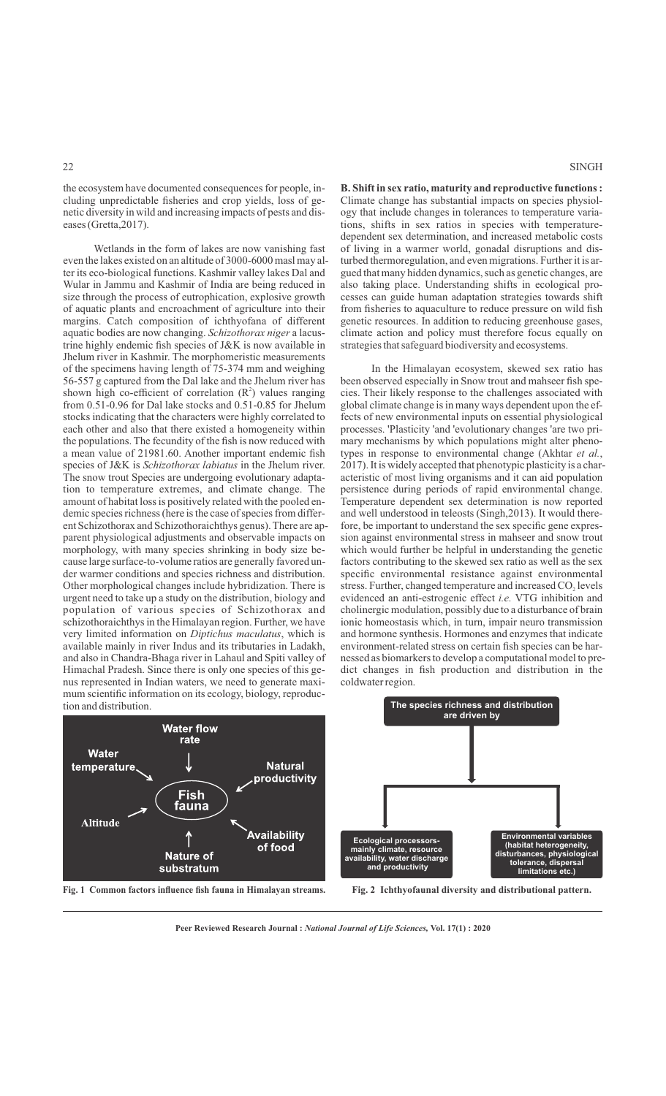the ecosystem have documented consequences for people, including unpredictable fisheries and crop yields, loss of genetic diversity in wild and increasing impacts of pests and diseases (Gretta,2017).

Wetlands in the form of lakes are now vanishing fast even the lakes existed on an altitude of 3000-6000 masl may alter its eco-biological functions. Kashmir valley lakes Dal and Wular in Jammu and Kashmir of India are being reduced in size through the process of eutrophication, explosive growth of aquatic plants and encroachment of agriculture into their margins. Catch composition of ichthyofana of different aquatic bodies are now changing. *Schizothorax niger* a lacustrine highly endemic fish species of J&K is now available in Jhelum river in Kashmir. The morphomeristic measurements of the specimens having length of 75-374 mm and weighing 56-557 g captured from the Dal lake and the Jhelum river has shown high co-efficient of correlation  $(R^2)$  values ranging from 0.51-0.96 for Dal lake stocks and 0.51-0.85 for Jhelum stocks indicating that the characters were highly correlated to each other and also that there existed a homogeneity within the populations. The fecundity of the fish is now reduced with a mean value of 21981.60. Another important endemic fish species of J&K is *Schizothorax labiatus* in the Jhelum river. The snow trout Species are undergoing evolutionary adaptation to temperature extremes, and climate change. The amount of habitat loss is positively related with the pooled endemic species richness (here is the case of species from different Schizothorax and Schizothoraichthys genus). There are apparent physiological adjustments and observable impacts on morphology, with many species shrinking in body size because large surface-to-volume ratios are generally favored under warmer conditions and species richness and distribution. Other morphological changes include hybridization. There is urgent need to take up a study on the distribution, biology and population of various species of Schizothorax and schizothoraichthys in the Himalayan region. Further, we have very limited information on *Diptichus maculatus*, which is available mainly in river Indus and its tributaries in Ladakh, and also in Chandra-Bhaga river in Lahaul and Spiti valley of Himachal Pradesh. Since there is only one species of this genus represented in Indian waters, we need to generate maximum scientific information on its ecology, biology, reproduction and distribution.



**Fig. 1 Common factors influence fish fauna in Himalayan streams. Fig. 2 Ichthyofaunal diversity and distributional pattern.**

**B. Shift in sex ratio, maturity and reproductive functions :** Climate change has substantial impacts on species physiology that include changes in tolerances to temperature variations, shifts in sex ratios in species with temperaturedependent sex determination, and increased metabolic costs of living in a warmer world, gonadal disruptions and disturbed thermoregulation, and even migrations. Further it is argued that many hidden dynamics, such as genetic changes, are also taking place. Understanding shifts in ecological processes can guide human adaptation strategies towards shift from fisheries to aquaculture to reduce pressure on wild fish genetic resources. In addition to reducing greenhouse gases, climate action and policy must therefore focus equally on strategies that safeguard biodiversity and ecosystems.

In the Himalayan ecosystem, skewed sex ratio has been observed especially in Snow trout and mahseer fish species. Their likely response to the challenges associated with global climate change is in many ways dependent upon the effects of new environmental inputs on essential physiological processes. 'Plasticity 'and 'evolutionary changes 'are two primary mechanisms by which populations might alter phenotypes in response to environmental change (Akhtar *et al.*, 2017). It is widely accepted that phenotypic plasticity is a characteristic of most living organisms and it can aid population persistence during periods of rapid environmental change. Temperature dependent sex determination is now reported and well understood in teleosts (Singh,2013). It would therefore, be important to understand the sex specific gene expression against environmental stress in mahseer and snow trout which would further be helpful in understanding the genetic factors contributing to the skewed sex ratio as well as the sex specific environmental resistance against environmental stress. Further, changed temperature and increased CO, levels evidenced an anti-estrogenic effect *i.e.* VTG inhibition and cholinergic modulation, possibly due to a disturbance of brain ionic homeostasis which, in turn, impair neuro transmission and hormone synthesis. Hormones and enzymes that indicate environment-related stress on certain fish species can be harnessed as biomarkers to develop a computational model to predict changes in fish production and distribution in the coldwater region.



**Peer Reviewed Research Journal :** *National Journal of Life Sciences,* **Vol. 17(1) : 2020**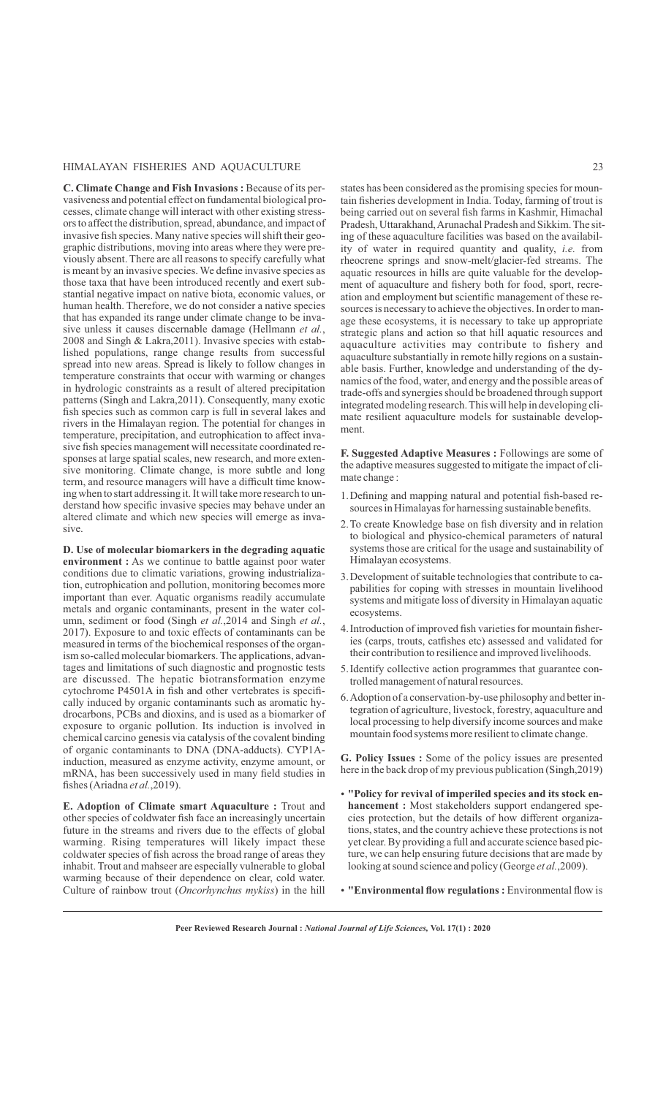## HIMALAYAN FISHERIES AND AQUACULTURE 23

**C. Climate Change and Fish Invasions :** Because of its pervasiveness and potential effect on fundamental biological processes, climate change will interact with other existing stressors to affect the distribution, spread, abundance, and impact of invasive fish species. Many native species will shift their geographic distributions, moving into areas where they were previously absent. There are all reasons to specify carefully what is meant by an invasive species. We define invasive species as those taxa that have been introduced recently and exert substantial negative impact on native biota, economic values, or human health. Therefore, we do not consider a native species that has expanded its range under climate change to be invasive unless it causes discernable damage (Hellmann *et al.*, 2008 and Singh & Lakra,2011). Invasive species with established populations, range change results from successful spread into new areas. Spread is likely to follow changes in temperature constraints that occur with warming or changes in hydrologic constraints as a result of altered precipitation patterns (Singh and Lakra,2011). Consequently, many exotic fish species such as common carp is full in several lakes and rivers in the Himalayan region. The potential for changes in temperature, precipitation, and eutrophication to affect invasive fish species management will necessitate coordinated responses at large spatial scales, new research, and more extensive monitoring. Climate change, is more subtle and long term, and resource managers will have a difficult time knowing when to start addressing it. It will take more research to understand how specific invasive species may behave under an altered climate and which new species will emerge as invasive.

**D. Use of molecular biomarkers in the degrading aquatic environment :** As we continue to battle against poor water conditions due to climatic variations, growing industrialization, eutrophication and pollution, monitoring becomes more important than ever. Aquatic organisms readily accumulate metals and organic contaminants, present in the water column, sediment or food (Singh *et al.*,2014 and Singh *et al.*, 2017). Exposure to and toxic effects of contaminants can be measured in terms of the biochemical responses of the organism so-called molecular biomarkers. The applications, advantages and limitations of such diagnostic and prognostic tests are discussed. The hepatic biotransformation enzyme cytochrome P4501A in fish and other vertebrates is specifically induced by organic contaminants such as aromatic hydrocarbons, PCBs and dioxins, and is used as a biomarker of exposure to organic pollution. Its induction is involved in chemical carcino genesis via catalysis of the covalent binding of organic contaminants to DNA (DNA-adducts). CYP1Ainduction, measured as enzyme activity, enzyme amount, or mRNA, has been successively used in many field studies in fishes (Ariadna *et al.*,2019).

**E. Adoption of Climate smart Aquaculture :** Trout and other species of coldwater fish face an increasingly uncertain future in the streams and rivers due to the effects of global warming. Rising temperatures will likely impact these coldwater species of fish across the broad range of areas they inhabit. Trout and mahseer are especially vulnerable to global warming because of their dependence on clear, cold water. Culture of rainbow trout (*Oncorhynchus mykiss*) in the hill states has been considered as the promising species for mountain fisheries development in India. Today, farming of trout is being carried out on several fish farms in Kashmir, Himachal Pradesh, Uttarakhand, Arunachal Pradesh and Sikkim. The siting of these aquaculture facilities was based on the availability of water in required quantity and quality, *i.e.* from rheocrene springs and snow-melt/glacier-fed streams. The aquatic resources in hills are quite valuable for the development of aquaculture and fishery both for food, sport, recreation and employment but scientific management of these resources is necessary to achieve the objectives. In order to manage these ecosystems, it is necessary to take up appropriate strategic plans and action so that hill aquatic resources and aquaculture activities may contribute to fishery and aquaculture substantially in remote hilly regions on a sustainable basis. Further, knowledge and understanding of the dynamics of the food, water, and energy and the possible areas of trade-offs and synergies should be broadened through support integrated modeling research. This will help in developing climate resilient aquaculture models for sustainable development.

**F. Suggested Adaptive Measures :** Followings are some of the adaptive measures suggested to mitigate the impact of climate change :

- 1. Defining and mapping natural and potential fish-based resources in Himalayas for harnessing sustainable benefits.
- 2. To create Knowledge base on fish diversity and in relation to biological and physico-chemical parameters of natural systems those are critical for the usage and sustainability of Himalayan ecosystems.
- 3. Development of suitable technologies that contribute to capabilities for coping with stresses in mountain livelihood systems and mitigate loss of diversity in Himalayan aquatic ecosystems.
- 4. Introduction of improved fish varieties for mountain fisheries (carps, trouts, catfishes etc) assessed and validated for their contribution to resilience and improved livelihoods.
- 5. Identify collective action programmes that guarantee controlled management of natural resources.
- 6. Adoption of a conservation-by-use philosophy and better integration of agriculture, livestock, forestry, aquaculture and local processing to help diversify income sources and make mountain food systems more resilient to climate change.

**G. Policy Issues :** Some of the policy issues are presented here in the back drop of my previous publication (Singh,2019)

- $\cdot$  "Policy for revival of imperiled species and its stock en**hancement :** Most stakeholders support endangered species protection, but the details of how different organizations, states, and the country achieve these protections is not yet clear. By providing a full and accurate science based picture, we can help ensuring future decisions that are made by looking at sound science and policy (George *et al.*,2009).
- $\cdot$  "Environmental flow regulations : Environmental flow is